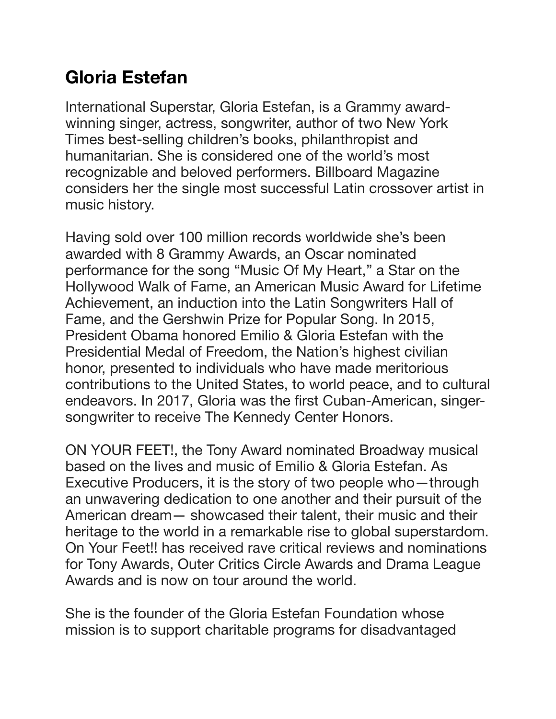## **Gloria Estefan**

International Superstar, Gloria Estefan, is a Grammy awardwinning singer, actress, songwriter, author of two New York Times best-selling children's books, philanthropist and humanitarian. She is considered one of the world's most recognizable and beloved performers. Billboard Magazine considers her the single most successful Latin crossover artist in music history.

Having sold over 100 million records worldwide she's been awarded with 8 Grammy Awards, an Oscar nominated performance for the song "Music Of My Heart," a Star on the Hollywood Walk of Fame, an American Music Award for Lifetime Achievement, an induction into the Latin Songwriters Hall of Fame, and the Gershwin Prize for Popular Song. In 2015, President Obama honored Emilio & Gloria Estefan with the Presidential Medal of Freedom, the Nation's highest civilian honor, presented to individuals who have made meritorious contributions to the United States, to world peace, and to cultural endeavors. In 2017, Gloria was the first Cuban-American, singersongwriter to receive The Kennedy Center Honors.

ON YOUR FEET!, the Tony Award nominated Broadway musical based on the lives and music of Emilio & Gloria Estefan. As Executive Producers, it is the story of two people who—through an unwavering dedication to one another and their pursuit of the American dream— showcased their talent, their music and their heritage to the world in a remarkable rise to global superstardom. On Your Feet!! has received rave critical reviews and nominations for Tony Awards, Outer Critics Circle Awards and Drama League Awards and is now on tour around the world.

She is the founder of the Gloria Estefan Foundation whose mission is to support charitable programs for disadvantaged